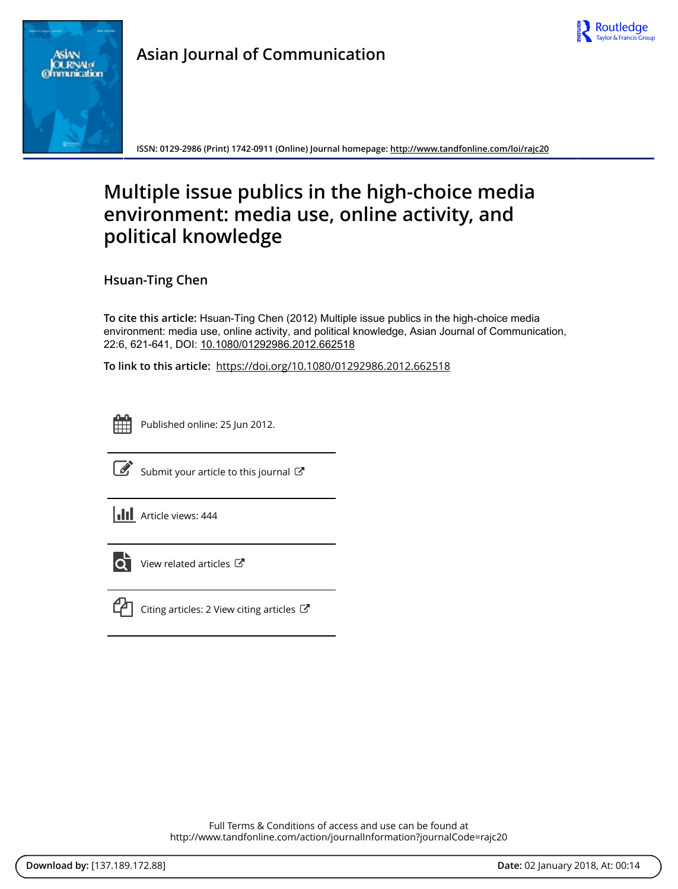



**ISSN: 0129-2986 (Print) 1742-0911 (Online) Journal homepage:<http://www.tandfonline.com/loi/rajc20>**

# **Multiple issue publics in the high-choice media environment: media use, online activity, and political knowledge**

**Hsuan-Ting Chen**

**To cite this article:** Hsuan-Ting Chen (2012) Multiple issue publics in the high-choice media environment: media use, online activity, and political knowledge, Asian Journal of Communication, 22:6, 621-641, DOI: [10.1080/01292986.2012.662518](http://www.tandfonline.com/action/showCitFormats?doi=10.1080/01292986.2012.662518)

**To link to this article:** <https://doi.org/10.1080/01292986.2012.662518>



Published online: 25 Jun 2012.



 $\overrightarrow{S}$  [Submit your article to this journal](http://www.tandfonline.com/action/authorSubmission?journalCode=rajc20&show=instructions)  $\overrightarrow{S}$ 





 $\overline{Q}$  [View related articles](http://www.tandfonline.com/doi/mlt/10.1080/01292986.2012.662518)  $\mathbb{Z}$ 



 $\mathbb{C}\Box$  [Citing articles: 2 View citing articles](http://www.tandfonline.com/doi/citedby/10.1080/01292986.2012.662518#tabModule)  $\mathbb{C}\Box$ 

Full Terms & Conditions of access and use can be found at <http://www.tandfonline.com/action/journalInformation?journalCode=rajc20>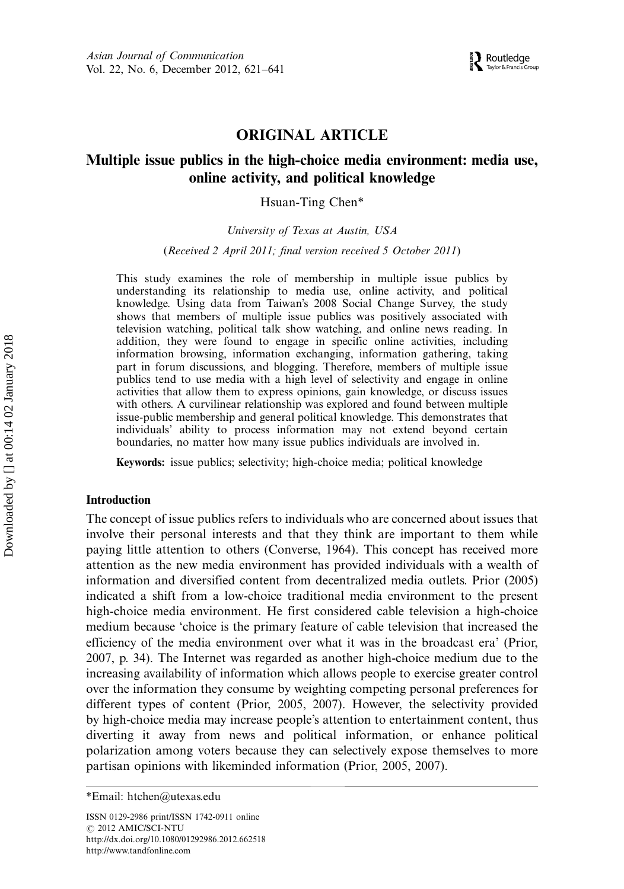# ORIGINAL ARTICLE

# Multiple issue publics in the high-choice media environment: media use, online activity, and political knowledge

Hsuan-Ting Chen\*

University of Texas at Austin, USA

(Received 2 April 2011; final version received 5 October 2011)

This study examines the role of membership in multiple issue publics by understanding its relationship to media use, online activity, and political knowledge. Using data from Taiwan's 2008 Social Change Survey, the study shows that members of multiple issue publics was positively associated with television watching, political talk show watching, and online news reading. In addition, they were found to engage in specific online activities, including information browsing, information exchanging, information gathering, taking part in forum discussions, and blogging. Therefore, members of multiple issue publics tend to use media with a high level of selectivity and engage in online activities that allow them to express opinions, gain knowledge, or discuss issues with others. A curvilinear relationship was explored and found between multiple issue-public membership and general political knowledge. This demonstrates that individuals' ability to process information may not extend beyond certain boundaries, no matter how many issue publics individuals are involved in.

Keywords: issue publics; selectivity; high-choice media; political knowledge

## Introduction

The concept of issue publics refers to individuals who are concerned about issues that involve their personal interests and that they think are important to them while paying little attention to others (Converse, 1964). This concept has received more attention as the new media environment has provided individuals with a wealth of information and diversified content from decentralized media outlets. Prior (2005) indicated a shift from a low-choice traditional media environment to the present high-choice media environment. He first considered cable television a high-choice medium because 'choice is the primary feature of cable television that increased the efficiency of the media environment over what it was in the broadcast era' (Prior, 2007, p. 34). The Internet was regarded as another high-choice medium due to the increasing availability of information which allows people to exercise greater control over the information they consume by weighting competing personal preferences for different types of content (Prior, 2005, 2007). However, the selectivity provided by high-choice media may increase people's attention to entertainment content, thus diverting it away from news and political information, or enhance political polarization among voters because they can selectively expose themselves to more partisan opinions with likeminded information (Prior, 2005, 2007).

ISSN 0129-2986 print/ISSN 1742-0911 online  $\odot$  2012 AMIC/SCI-NTU <http://dx.doi.org/10.1080/01292986.2012.662518> <http://www.tandfonline.com>

<sup>\*</sup>Email: htchen@utexas.edu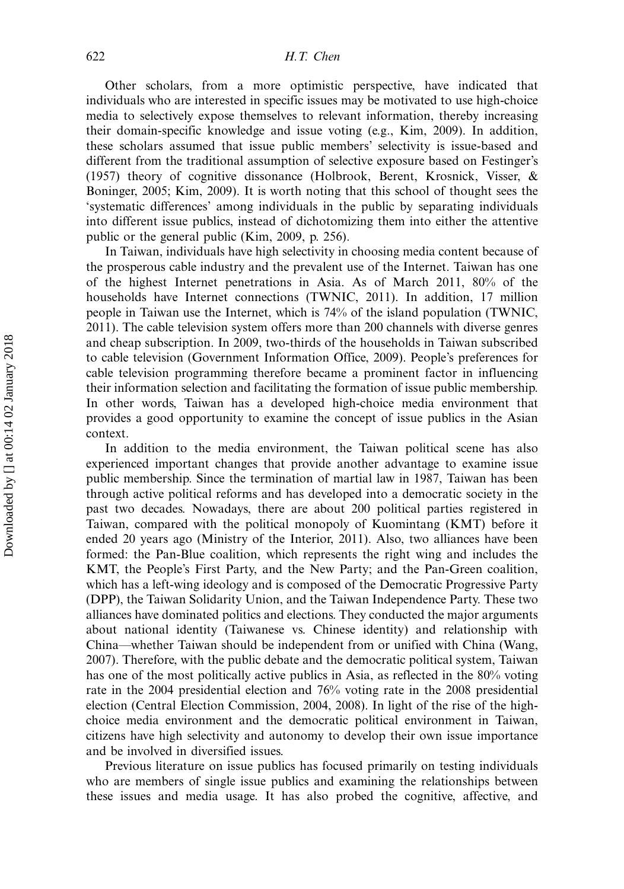Other scholars, from a more optimistic perspective, have indicated that individuals who are interested in specific issues may be motivated to use high-choice media to selectively expose themselves to relevant information, thereby increasing their domain-specific knowledge and issue voting (e.g., Kim, 2009). In addition, these scholars assumed that issue public members' selectivity is issue-based and different from the traditional assumption of selective exposure based on Festinger's (1957) theory of cognitive dissonance (Holbrook, Berent, Krosnick, Visser, & Boninger, 2005; Kim, 2009). It is worth noting that this school of thought sees the 'systematic differences' among individuals in the public by separating individuals into different issue publics, instead of dichotomizing them into either the attentive public or the general public (Kim, 2009, p. 256).

In Taiwan, individuals have high selectivity in choosing media content because of the prosperous cable industry and the prevalent use of the Internet. Taiwan has one of the highest Internet penetrations in Asia. As of March 2011, 80% of the households have Internet connections (TWNIC, 2011). In addition, 17 million people in Taiwan use the Internet, which is 74% of the island population (TWNIC, 2011). The cable television system offers more than 200 channels with diverse genres and cheap subscription. In 2009, two-thirds of the households in Taiwan subscribed to cable television (Government Information Office, 2009). People's preferences for cable television programming therefore became a prominent factor in influencing their information selection and facilitating the formation of issue public membership. In other words, Taiwan has a developed high-choice media environment that provides a good opportunity to examine the concept of issue publics in the Asian context.

In addition to the media environment, the Taiwan political scene has also experienced important changes that provide another advantage to examine issue public membership. Since the termination of martial law in 1987, Taiwan has been through active political reforms and has developed into a democratic society in the past two decades. Nowadays, there are about 200 political parties registered in Taiwan, compared with the political monopoly of Kuomintang (KMT) before it ended 20 years ago (Ministry of the Interior, 2011). Also, two alliances have been formed: the Pan-Blue coalition, which represents the right wing and includes the KMT, the People's First Party, and the New Party; and the Pan-Green coalition, which has a left-wing ideology and is composed of the Democratic Progressive Party (DPP), the Taiwan Solidarity Union, and the Taiwan Independence Party. These two alliances have dominated politics and elections. They conducted the major arguments about national identity (Taiwanese vs. Chinese identity) and relationship with China—whether Taiwan should be independent from or unified with China (Wang, 2007). Therefore, with the public debate and the democratic political system, Taiwan has one of the most politically active publics in Asia, as reflected in the 80% voting rate in the 2004 presidential election and 76% voting rate in the 2008 presidential election (Central Election Commission, 2004, 2008). In light of the rise of the highchoice media environment and the democratic political environment in Taiwan, citizens have high selectivity and autonomy to develop their own issue importance and be involved in diversified issues.

Previous literature on issue publics has focused primarily on testing individuals who are members of single issue publics and examining the relationships between these issues and media usage. It has also probed the cognitive, affective, and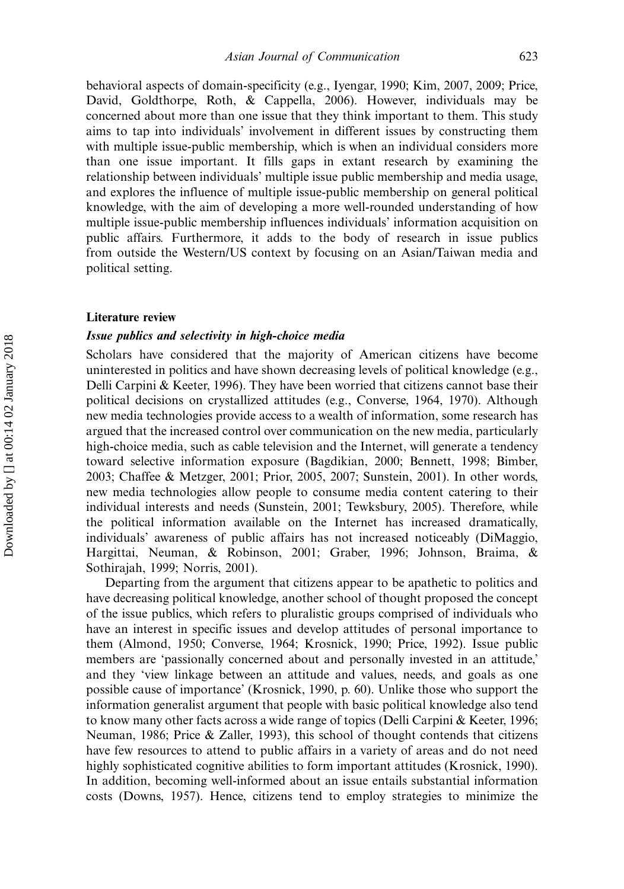behavioral aspects of domain-specificity (e.g., Iyengar, 1990; Kim, 2007, 2009; Price, David, Goldthorpe, Roth, & Cappella, 2006). However, individuals may be concerned about more than one issue that they think important to them. This study aims to tap into individuals' involvement in different issues by constructing them with multiple issue-public membership, which is when an individual considers more than one issue important. It fills gaps in extant research by examining the relationship between individuals' multiple issue public membership and media usage, and explores the influence of multiple issue-public membership on general political knowledge, with the aim of developing a more well-rounded understanding of how multiple issue-public membership influences individuals' information acquisition on public affairs. Furthermore, it adds to the body of research in issue publics from outside the Western/US context by focusing on an Asian/Taiwan media and political setting.

# Literature review

#### Issue publics and selectivity in high-choice media

Scholars have considered that the majority of American citizens have become uninterested in politics and have shown decreasing levels of political knowledge (e.g., Delli Carpini & Keeter, 1996). They have been worried that citizens cannot base their political decisions on crystallized attitudes (e.g., Converse, 1964, 1970). Although new media technologies provide access to a wealth of information, some research has argued that the increased control over communication on the new media, particularly high-choice media, such as cable television and the Internet, will generate a tendency toward selective information exposure (Bagdikian, 2000; Bennett, 1998; Bimber, 2003; Chaffee & Metzger, 2001; Prior, 2005, 2007; Sunstein, 2001). In other words, new media technologies allow people to consume media content catering to their individual interests and needs (Sunstein, 2001; Tewksbury, 2005). Therefore, while the political information available on the Internet has increased dramatically, individuals' awareness of public affairs has not increased noticeably (DiMaggio, Hargittai, Neuman, & Robinson, 2001; Graber, 1996; Johnson, Braima, & Sothirajah, 1999; Norris, 2001).

Departing from the argument that citizens appear to be apathetic to politics and have decreasing political knowledge, another school of thought proposed the concept of the issue publics, which refers to pluralistic groups comprised of individuals who have an interest in specific issues and develop attitudes of personal importance to them (Almond, 1950; Converse, 1964; Krosnick, 1990; Price, 1992). Issue public members are 'passionally concerned about and personally invested in an attitude,' and they 'view linkage between an attitude and values, needs, and goals as one possible cause of importance' (Krosnick, 1990, p. 60). Unlike those who support the information generalist argument that people with basic political knowledge also tend to know many other facts across a wide range of topics (Delli Carpini & Keeter, 1996; Neuman, 1986; Price & Zaller, 1993), this school of thought contends that citizens have few resources to attend to public affairs in a variety of areas and do not need highly sophisticated cognitive abilities to form important attitudes (Krosnick, 1990). In addition, becoming well-informed about an issue entails substantial information costs (Downs, 1957). Hence, citizens tend to employ strategies to minimize the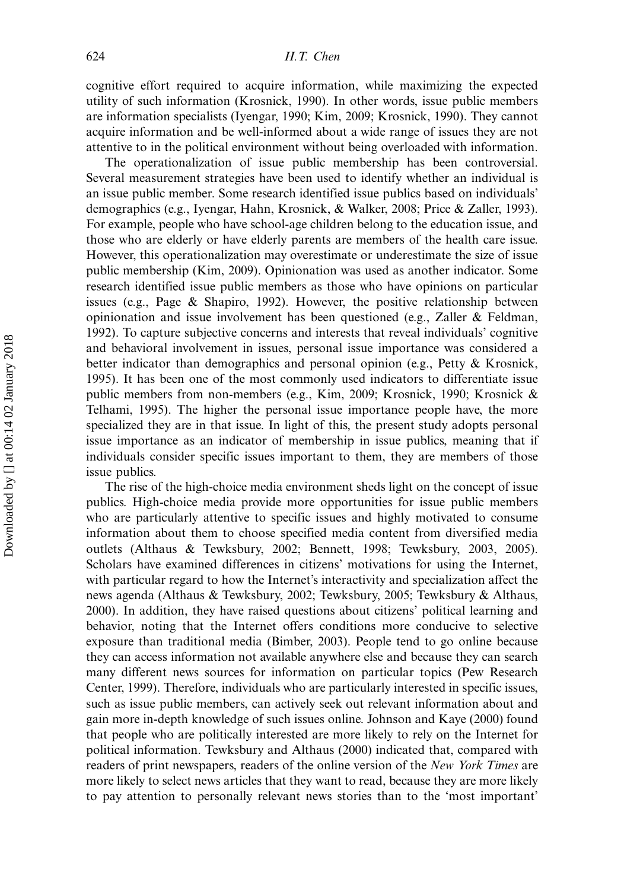cognitive effort required to acquire information, while maximizing the expected utility of such information (Krosnick, 1990). In other words, issue public members are information specialists (Iyengar, 1990; Kim, 2009; Krosnick, 1990). They cannot acquire information and be well-informed about a wide range of issues they are not attentive to in the political environment without being overloaded with information.

The operationalization of issue public membership has been controversial. Several measurement strategies have been used to identify whether an individual is an issue public member. Some research identified issue publics based on individuals' demographics (e.g., Iyengar, Hahn, Krosnick, & Walker, 2008; Price & Zaller, 1993). For example, people who have school-age children belong to the education issue, and those who are elderly or have elderly parents are members of the health care issue. However, this operationalization may overestimate or underestimate the size of issue public membership (Kim, 2009). Opinionation was used as another indicator. Some research identified issue public members as those who have opinions on particular issues (e.g., Page & Shapiro, 1992). However, the positive relationship between opinionation and issue involvement has been questioned (e.g., Zaller & Feldman, 1992). To capture subjective concerns and interests that reveal individuals' cognitive and behavioral involvement in issues, personal issue importance was considered a better indicator than demographics and personal opinion (e.g., Petty & Krosnick, 1995). It has been one of the most commonly used indicators to differentiate issue public members from non-members (e.g., Kim, 2009; Krosnick, 1990; Krosnick & Telhami, 1995). The higher the personal issue importance people have, the more specialized they are in that issue. In light of this, the present study adopts personal issue importance as an indicator of membership in issue publics, meaning that if individuals consider specific issues important to them, they are members of those issue publics.

The rise of the high-choice media environment sheds light on the concept of issue publics. High-choice media provide more opportunities for issue public members who are particularly attentive to specific issues and highly motivated to consume information about them to choose specified media content from diversified media outlets (Althaus & Tewksbury, 2002; Bennett, 1998; Tewksbury, 2003, 2005). Scholars have examined differences in citizens' motivations for using the Internet, with particular regard to how the Internet's interactivity and specialization affect the news agenda (Althaus & Tewksbury, 2002; Tewksbury, 2005; Tewksbury & Althaus, 2000). In addition, they have raised questions about citizens' political learning and behavior, noting that the Internet offers conditions more conducive to selective exposure than traditional media (Bimber, 2003). People tend to go online because they can access information not available anywhere else and because they can search many different news sources for information on particular topics (Pew Research Center, 1999). Therefore, individuals who are particularly interested in specific issues, such as issue public members, can actively seek out relevant information about and gain more in-depth knowledge of such issues online. Johnson and Kaye (2000) found that people who are politically interested are more likely to rely on the Internet for political information. Tewksbury and Althaus (2000) indicated that, compared with readers of print newspapers, readers of the online version of the New York Times are more likely to select news articles that they want to read, because they are more likely to pay attention to personally relevant news stories than to the 'most important'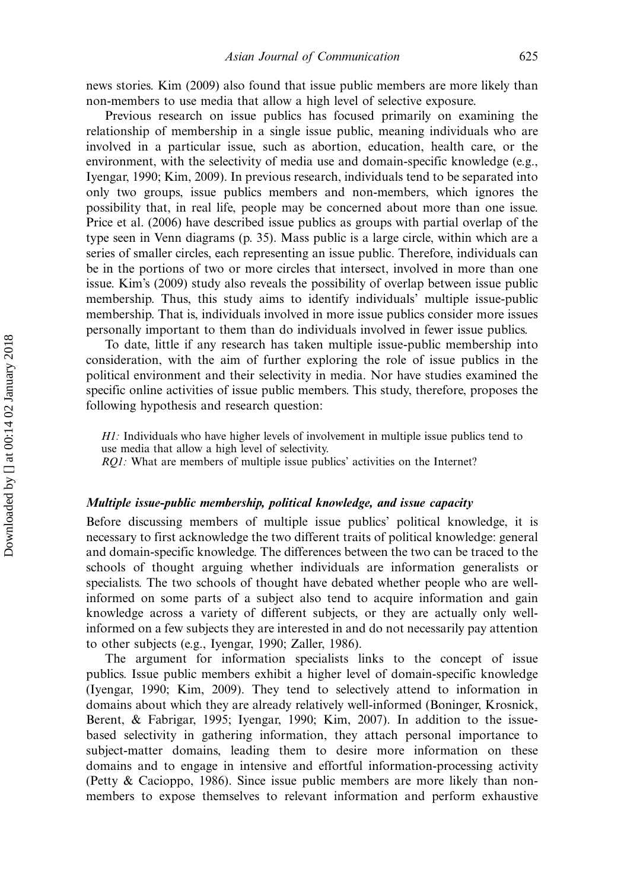news stories. Kim (2009) also found that issue public members are more likely than non-members to use media that allow a high level of selective exposure.

Previous research on issue publics has focused primarily on examining the relationship of membership in a single issue public, meaning individuals who are involved in a particular issue, such as abortion, education, health care, or the environment, with the selectivity of media use and domain-specific knowledge (e.g., Iyengar, 1990; Kim, 2009). In previous research, individuals tend to be separated into only two groups, issue publics members and non-members, which ignores the possibility that, in real life, people may be concerned about more than one issue. Price et al. (2006) have described issue publics as groups with partial overlap of the type seen in Venn diagrams (p. 35). Mass public is a large circle, within which are a series of smaller circles, each representing an issue public. Therefore, individuals can be in the portions of two or more circles that intersect, involved in more than one issue. Kim's (2009) study also reveals the possibility of overlap between issue public membership. Thus, this study aims to identify individuals' multiple issue-public membership. That is, individuals involved in more issue publics consider more issues personally important to them than do individuals involved in fewer issue publics.

To date, little if any research has taken multiple issue-public membership into consideration, with the aim of further exploring the role of issue publics in the political environment and their selectivity in media. Nor have studies examined the specific online activities of issue public members. This study, therefore, proposes the following hypothesis and research question:

H1: Individuals who have higher levels of involvement in multiple issue publics tend to use media that allow a high level of selectivity.

RQ1: What are members of multiple issue publics' activities on the Internet?

#### Multiple issue-public membership, political knowledge, and issue capacity

Before discussing members of multiple issue publics' political knowledge, it is necessary to first acknowledge the two different traits of political knowledge: general and domain-specific knowledge. The differences between the two can be traced to the schools of thought arguing whether individuals are information generalists or specialists. The two schools of thought have debated whether people who are wellinformed on some parts of a subject also tend to acquire information and gain knowledge across a variety of different subjects, or they are actually only wellinformed on a few subjects they are interested in and do not necessarily pay attention to other subjects (e.g., Iyengar, 1990; Zaller, 1986).

The argument for information specialists links to the concept of issue publics. Issue public members exhibit a higher level of domain-specific knowledge (Iyengar, 1990; Kim, 2009). They tend to selectively attend to information in domains about which they are already relatively well-informed (Boninger, Krosnick, Berent, & Fabrigar, 1995; Iyengar, 1990; Kim, 2007). In addition to the issuebased selectivity in gathering information, they attach personal importance to subject-matter domains, leading them to desire more information on these domains and to engage in intensive and effortful information-processing activity (Petty & Cacioppo, 1986). Since issue public members are more likely than nonmembers to expose themselves to relevant information and perform exhaustive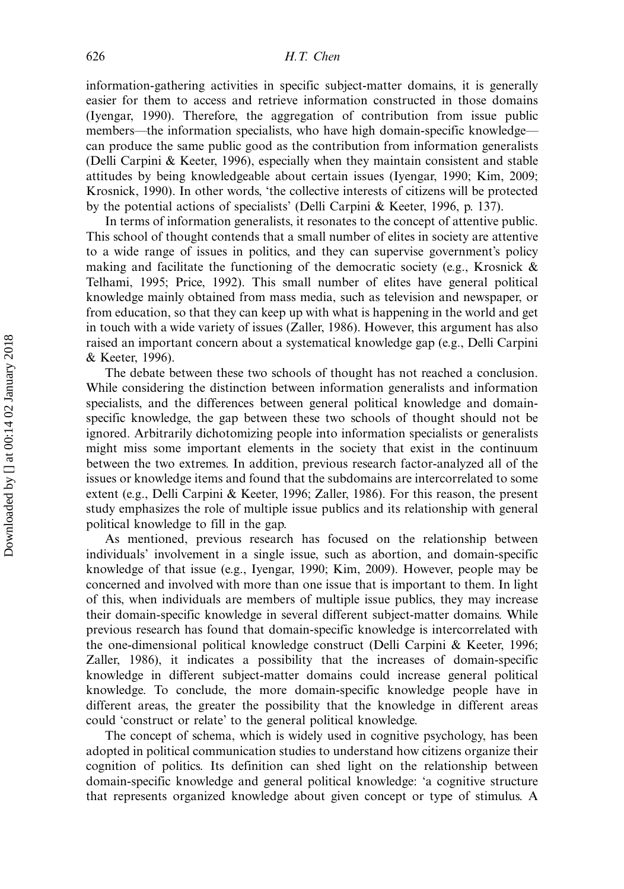information-gathering activities in specific subject-matter domains, it is generally easier for them to access and retrieve information constructed in those domains (Iyengar, 1990). Therefore, the aggregation of contribution from issue public members—the information specialists, who have high domain-specific knowledge can produce the same public good as the contribution from information generalists (Delli Carpini & Keeter, 1996), especially when they maintain consistent and stable attitudes by being knowledgeable about certain issues (Iyengar, 1990; Kim, 2009; Krosnick, 1990). In other words, 'the collective interests of citizens will be protected by the potential actions of specialists' (Delli Carpini & Keeter, 1996, p. 137).

In terms of information generalists, it resonates to the concept of attentive public. This school of thought contends that a small number of elites in society are attentive to a wide range of issues in politics, and they can supervise government's policy making and facilitate the functioning of the democratic society (e.g., Krosnick  $\&$ Telhami, 1995; Price, 1992). This small number of elites have general political knowledge mainly obtained from mass media, such as television and newspaper, or from education, so that they can keep up with what is happening in the world and get in touch with a wide variety of issues (Zaller, 1986). However, this argument has also raised an important concern about a systematical knowledge gap (e.g., Delli Carpini & Keeter, 1996).

The debate between these two schools of thought has not reached a conclusion. While considering the distinction between information generalists and information specialists, and the differences between general political knowledge and domainspecific knowledge, the gap between these two schools of thought should not be ignored. Arbitrarily dichotomizing people into information specialists or generalists might miss some important elements in the society that exist in the continuum between the two extremes. In addition, previous research factor-analyzed all of the issues or knowledge items and found that the subdomains are intercorrelated to some extent (e.g., Delli Carpini & Keeter, 1996; Zaller, 1986). For this reason, the present study emphasizes the role of multiple issue publics and its relationship with general political knowledge to fill in the gap.

As mentioned, previous research has focused on the relationship between individuals' involvement in a single issue, such as abortion, and domain-specific knowledge of that issue (e.g., Iyengar, 1990; Kim, 2009). However, people may be concerned and involved with more than one issue that is important to them. In light of this, when individuals are members of multiple issue publics, they may increase their domain-specific knowledge in several different subject-matter domains. While previous research has found that domain-specific knowledge is intercorrelated with the one-dimensional political knowledge construct (Delli Carpini & Keeter, 1996; Zaller, 1986), it indicates a possibility that the increases of domain-specific knowledge in different subject-matter domains could increase general political knowledge. To conclude, the more domain-specific knowledge people have in different areas, the greater the possibility that the knowledge in different areas could 'construct or relate' to the general political knowledge.

The concept of schema, which is widely used in cognitive psychology, has been adopted in political communication studies to understand how citizens organize their cognition of politics. Its definition can shed light on the relationship between domain-specific knowledge and general political knowledge: 'a cognitive structure that represents organized knowledge about given concept or type of stimulus. A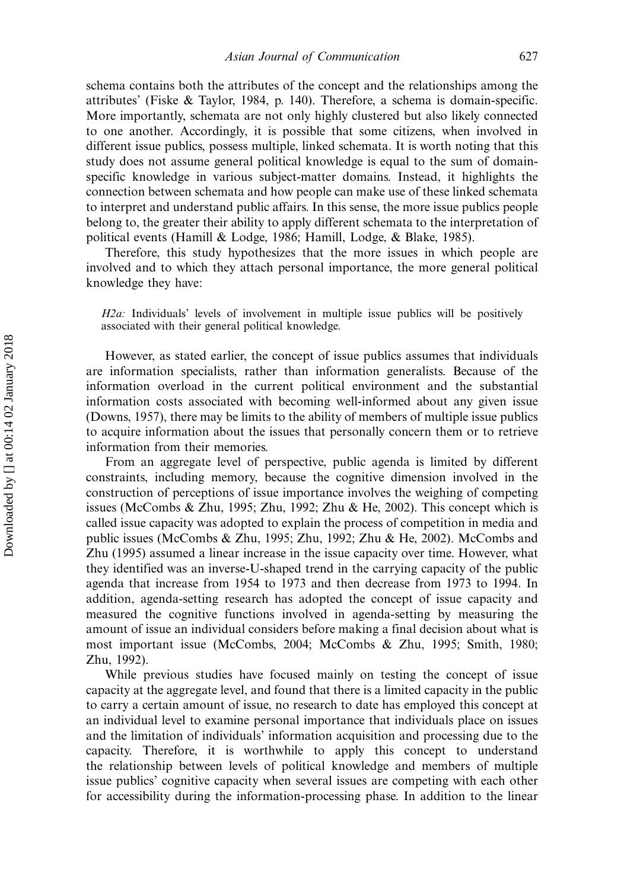schema contains both the attributes of the concept and the relationships among the attributes' (Fiske & Taylor, 1984, p. 140). Therefore, a schema is domain-specific. More importantly, schemata are not only highly clustered but also likely connected to one another. Accordingly, it is possible that some citizens, when involved in different issue publics, possess multiple, linked schemata. It is worth noting that this study does not assume general political knowledge is equal to the sum of domainspecific knowledge in various subject-matter domains. Instead, it highlights the connection between schemata and how people can make use of these linked schemata to interpret and understand public affairs. In this sense, the more issue publics people belong to, the greater their ability to apply different schemata to the interpretation of political events (Hamill & Lodge, 1986; Hamill, Lodge, & Blake, 1985).

Therefore, this study hypothesizes that the more issues in which people are involved and to which they attach personal importance, the more general political knowledge they have:

H2a: Individuals' levels of involvement in multiple issue publics will be positively associated with their general political knowledge.

However, as stated earlier, the concept of issue publics assumes that individuals are information specialists, rather than information generalists. Because of the information overload in the current political environment and the substantial information costs associated with becoming well-informed about any given issue (Downs, 1957), there may be limits to the ability of members of multiple issue publics to acquire information about the issues that personally concern them or to retrieve information from their memories.

From an aggregate level of perspective, public agenda is limited by different constraints, including memory, because the cognitive dimension involved in the construction of perceptions of issue importance involves the weighing of competing issues (McCombs & Zhu, 1995; Zhu, 1992; Zhu & He, 2002). This concept which is called issue capacity was adopted to explain the process of competition in media and public issues (McCombs & Zhu, 1995; Zhu, 1992; Zhu & He, 2002). McCombs and Zhu (1995) assumed a linear increase in the issue capacity over time. However, what they identified was an inverse-U-shaped trend in the carrying capacity of the public agenda that increase from 1954 to 1973 and then decrease from 1973 to 1994. In addition, agenda-setting research has adopted the concept of issue capacity and measured the cognitive functions involved in agenda-setting by measuring the amount of issue an individual considers before making a final decision about what is most important issue (McCombs, 2004; McCombs & Zhu, 1995; Smith, 1980; Zhu, 1992).

While previous studies have focused mainly on testing the concept of issue capacity at the aggregate level, and found that there is a limited capacity in the public to carry a certain amount of issue, no research to date has employed this concept at an individual level to examine personal importance that individuals place on issues and the limitation of individuals' information acquisition and processing due to the capacity. Therefore, it is worthwhile to apply this concept to understand the relationship between levels of political knowledge and members of multiple issue publics' cognitive capacity when several issues are competing with each other for accessibility during the information-processing phase. In addition to the linear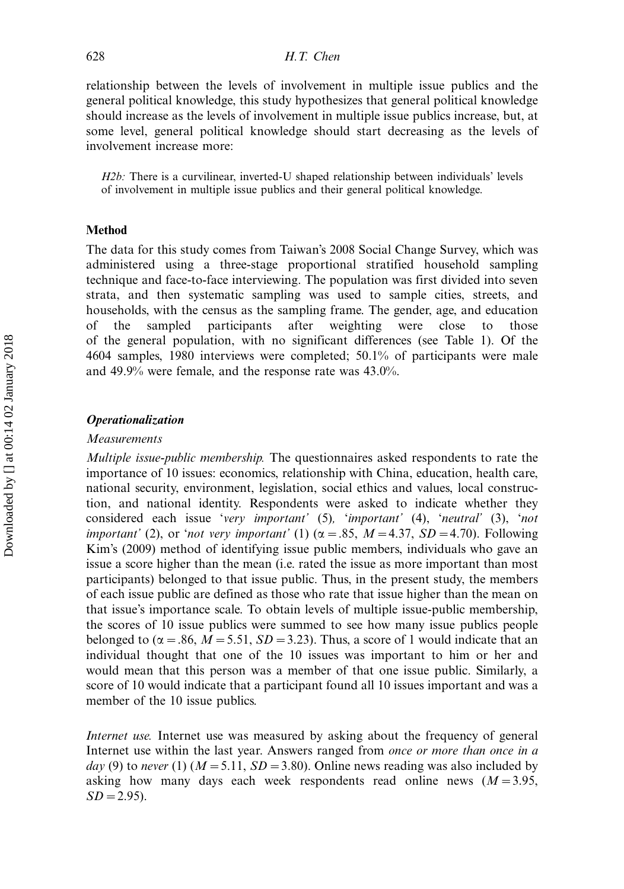relationship between the levels of involvement in multiple issue publics and the general political knowledge, this study hypothesizes that general political knowledge should increase as the levels of involvement in multiple issue publics increase, but, at some level, general political knowledge should start decreasing as the levels of involvement increase more:

H2b: There is a curvilinear, inverted-U shaped relationship between individuals' levels of involvement in multiple issue publics and their general political knowledge.

## Method

The data for this study comes from Taiwan's 2008 Social Change Survey, which was administered using a three-stage proportional stratified household sampling technique and face-to-face interviewing. The population was first divided into seven strata, and then systematic sampling was used to sample cities, streets, and households, with the census as the sampling frame. The gender, age, and education of the sampled participants after weighting were close to those of the general population, with no significant differences (see Table 1). Of the 4604 samples, 1980 interviews were completed; 50.1% of participants were male and 49.9% were female, and the response rate was 43.0%.

### **Operationalization**

#### **Measurements**

Multiple issue-public membership. The questionnaires asked respondents to rate the importance of 10 issues: economics, relationship with China, education, health care, national security, environment, legislation, social ethics and values, local construction, and national identity. Respondents were asked to indicate whether they considered each issue 'very important' (5), 'important' (4), 'neutral' (3), 'not *important'* (2), or 'not very *important'* (1) ( $\alpha = .85$ ,  $M = 4.37$ ,  $SD = 4.70$ ). Following Kim's (2009) method of identifying issue public members, individuals who gave an issue a score higher than the mean (i.e. rated the issue as more important than most participants) belonged to that issue public. Thus, in the present study, the members of each issue public are defined as those who rate that issue higher than the mean on that issue's importance scale. To obtain levels of multiple issue-public membership, the scores of 10 issue publics were summed to see how many issue publics people belonged to ( $\alpha = .86$ ,  $M = 5.51$ ,  $SD = 3.23$ ). Thus, a score of 1 would indicate that an individual thought that one of the 10 issues was important to him or her and would mean that this person was a member of that one issue public. Similarly, a score of 10 would indicate that a participant found all 10 issues important and was a member of the 10 issue publics.

Internet use. Internet use was measured by asking about the frequency of general Internet use within the last year. Answers ranged from *once or more than once in a* day (9) to never (1) ( $M=5.11$ ,  $SD=3.80$ ). Online news reading was also included by asking how many days each week respondents read online news  $(M=3.95,$  $SD = 2.95$ ).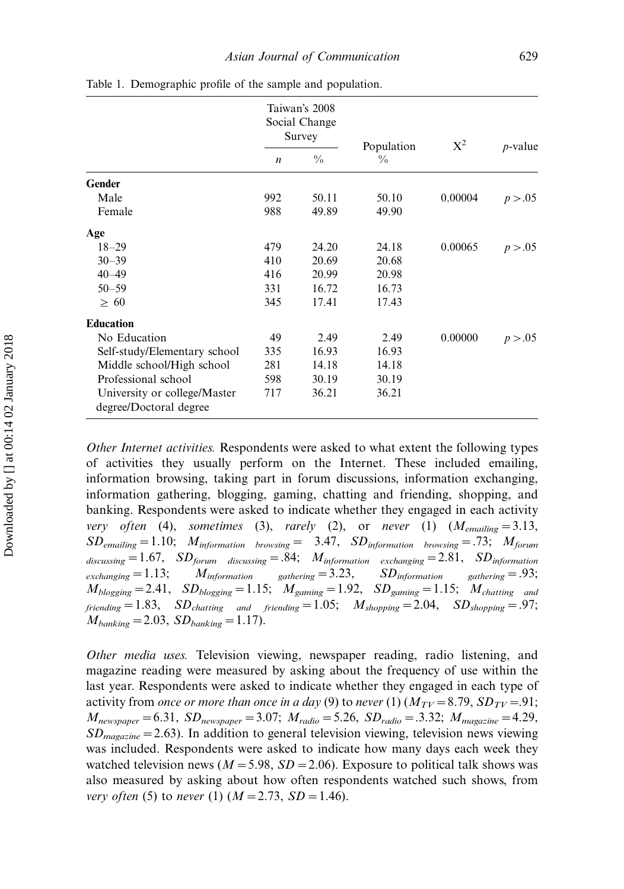|                                                        | Taiwan's 2008<br>Social Change<br>Survey |               | Population    | $X^2$   | $p$ -value |  |
|--------------------------------------------------------|------------------------------------------|---------------|---------------|---------|------------|--|
|                                                        | $\boldsymbol{n}$                         | $\frac{0}{0}$ | $\frac{0}{0}$ |         |            |  |
| Gender                                                 |                                          |               |               |         |            |  |
| Male                                                   | 992                                      | 50.11         | 50.10         | 0.00004 | p > 0.05   |  |
| Female                                                 | 988                                      | 49.89         | 49.90         |         |            |  |
| Age                                                    |                                          |               |               |         |            |  |
| $18 - 29$                                              | 479                                      | 24.20         | 24.18         | 0.00065 | p > 0.05   |  |
| $30 - 39$                                              | 410                                      | 20.69         | 20.68         |         |            |  |
| $40 - 49$                                              | 416                                      | 20.99         | 20.98         |         |            |  |
| $50 - 59$                                              | 331                                      | 16.72         | 16.73         |         |            |  |
| $\geq 60$                                              | 345                                      | 17.41         | 17.43         |         |            |  |
| <b>Education</b>                                       |                                          |               |               |         |            |  |
| No Education                                           | 49                                       | 2.49          | 2.49          | 0.00000 | p > 0.05   |  |
| Self-study/Elementary school                           | 335                                      | 16.93         | 16.93         |         |            |  |
| Middle school/High school                              | 281                                      | 14.18         | 14.18         |         |            |  |
| Professional school                                    | 598                                      | 30.19         | 30.19         |         |            |  |
| University or college/Master<br>degree/Doctoral degree | 717                                      | 36.21         | 36.21         |         |            |  |

Table 1. Demographic profile of the sample and population.

Other Internet activities. Respondents were asked to what extent the following types of activities they usually perform on the Internet. These included emailing, information browsing, taking part in forum discussions, information exchanging, information gathering, blogging, gaming, chatting and friending, shopping, and banking. Respondents were asked to indicate whether they engaged in each activity very often (4), sometimes (3), rarely (2), or never (1)  $(M_{emailing}=3.13,$  $SD_{emailing}=1.10; M_{information}$  browsing  $= 3.47, SD_{information}$  browsing  $= .73; M_{formula}$  $discussing=1.67$ ,  $SD_{formula}$  discussing. 1.64;  $M_{information}$  exchanging. 1.62, SD<sub>information</sub>  $exchanging=1.13;$   $M_{information}$  gathering=3.23, SD<sub>information</sub> gathering=.93;  $M_{blogging}=2.41$ ,  $SD_{blogging}=1.15$ ;  $M_{gaming}=1.92$ ,  $SD_{gaming}=1.15$ ;  $M_{chating}$  and friending  $=1.83$ ,  $SD_{chating}$  and friending  $=1.05$ ;  $M_{shopping}=2.04$ ,  $SD_{shopping}=.97$ ;  $M_{banking}=2.03$ ,  $SD_{banking}=1.17$ ).

Other media uses. Television viewing, newspaper reading, radio listening, and magazine reading were measured by asking about the frequency of use within the last year. Respondents were asked to indicate whether they engaged in each type of activity from once or more than once in a day (9) to never (1)  $(M_{TV} = 8.79, SD_{TV} = .91;$  $M_{newspaper} = 6.31, SD_{newspaper} = 3.07; M_{radio} = 5.26, SD_{radio} = .3.32; M_{magazine} = 4.29,$  $SD_{magazine}$  = 2.63). In addition to general television viewing, television news viewing was included. Respondents were asked to indicate how many days each week they watched television news ( $M=5.98$ ,  $SD=2.06$ ). Exposure to political talk shows was also measured by asking about how often respondents watched such shows, from very often (5) to never (1)  $(M=2.73, SD=1.46)$ .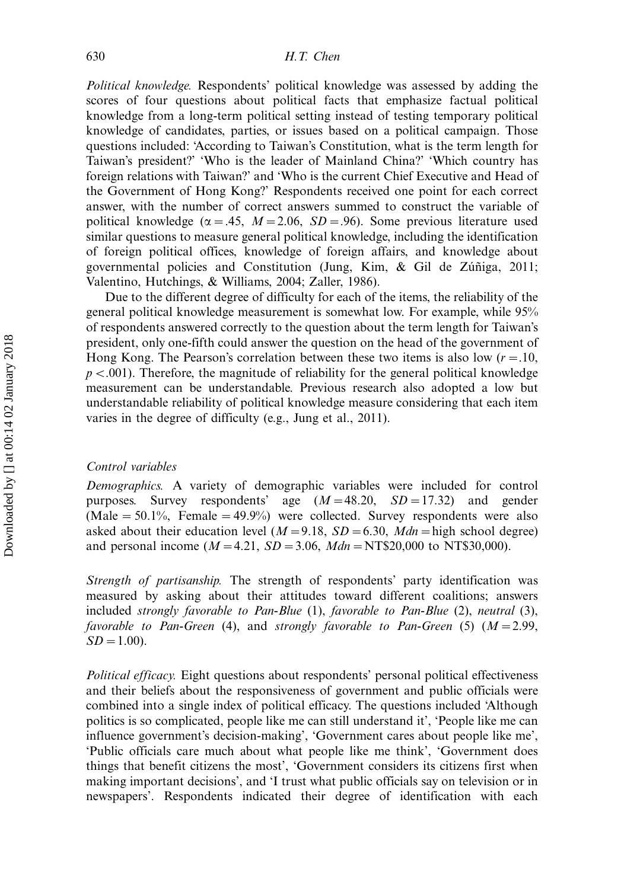Political knowledge. Respondents' political knowledge was assessed by adding the scores of four questions about political facts that emphasize factual political knowledge from a long-term political setting instead of testing temporary political knowledge of candidates, parties, or issues based on a political campaign. Those questions included: 'According to Taiwan's Constitution, what is the term length for Taiwan's president?' 'Who is the leader of Mainland China?' 'Which country has foreign relations with Taiwan?' and 'Who is the current Chief Executive and Head of the Government of Hong Kong?' Respondents received one point for each correct answer, with the number of correct answers summed to construct the variable of political knowledge ( $\alpha = .45$ ,  $M = 2.06$ ,  $SD = .96$ ). Some previous literature used similar questions to measure general political knowledge, including the identification of foreign political offices, knowledge of foreign affairs, and knowledge about governmental policies and Constitution (Jung, Kim,  $\&$  Gil de Zúñiga, 2011; Valentino, Hutchings, & Williams, 2004; Zaller, 1986).

Due to the different degree of difficulty for each of the items, the reliability of the general political knowledge measurement is somewhat low. For example, while 95% of respondents answered correctly to the question about the term length for Taiwan's president, only one-fifth could answer the question on the head of the government of Hong Kong. The Pearson's correlation between these two items is also low  $(r=.10,$  $p < .001$ ). Therefore, the magnitude of reliability for the general political knowledge measurement can be understandable. Previous research also adopted a low but understandable reliability of political knowledge measure considering that each item varies in the degree of difficulty (e.g., Jung et al., 2011).

# Control variables

Demographics. A variety of demographic variables were included for control purposes. Survey respondents' age  $(M=48.20, SD=17.32)$  and gender (Male  $= 50.1\%$ , Female  $= 49.9\%$ ) were collected. Survey respondents were also asked about their education level ( $M=9.18$ ,  $SD=6.30$ ,  $Mdn$  = high school degree) and personal income ( $M=4.21$ ,  $SD=3.06$ ,  $Mdn=\text{NT$20,000}$  to NT\$30,000).

Strength of partisanship. The strength of respondents' party identification was measured by asking about their attitudes toward different coalitions; answers included strongly favorable to Pan-Blue (1), favorable to Pan-Blue (2), neutral (3), favorable to Pan-Green (4), and strongly favorable to Pan-Green (5)  $(M=2.99,$  $SD = 1.00$ ).

Political efficacy. Eight questions about respondents' personal political effectiveness and their beliefs about the responsiveness of government and public officials were combined into a single index of political efficacy. The questions included 'Although politics is so complicated, people like me can still understand it', 'People like me can influence government's decision-making', 'Government cares about people like me', 'Public officials care much about what people like me think', 'Government does things that benefit citizens the most', 'Government considers its citizens first when making important decisions', and 'I trust what public officials say on television or in newspapers'. Respondents indicated their degree of identification with each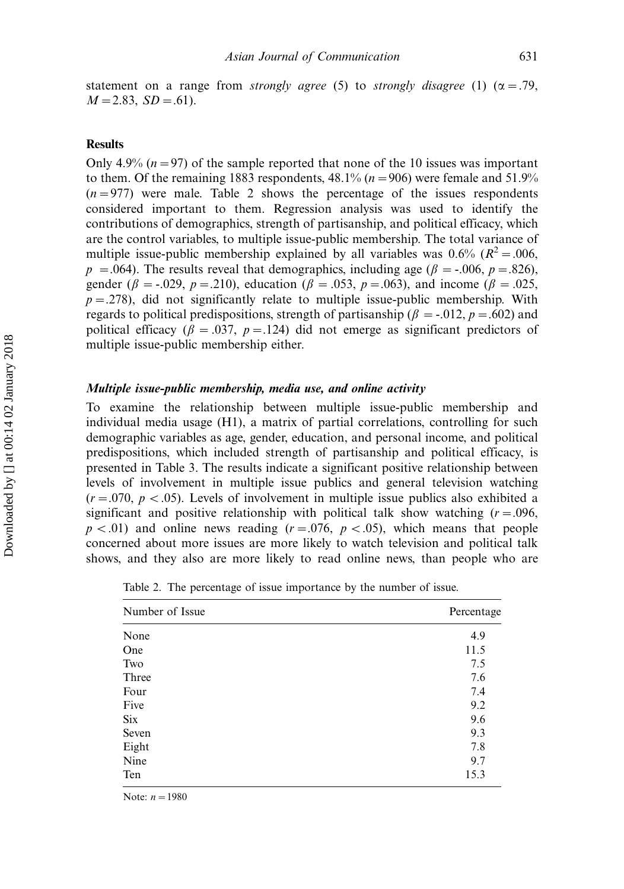statement on a range from *strongly agree* (5) to *strongly disagree* (1)  $(\alpha = .79)$ ,  $M=2.83, SD=.61$ .

# Results

Only 4.9% ( $n=97$ ) of the sample reported that none of the 10 issues was important to them. Of the remaining 1883 respondents,  $48.1\%$  ( $n=906$ ) were female and 51.9%  $(n=977)$  were male. Table 2 shows the percentage of the issues respondents considered important to them. Regression analysis was used to identify the contributions of demographics, strength of partisanship, and political efficacy, which are the control variables, to multiple issue-public membership. The total variance of multiple issue-public membership explained by all variables was 0.6% ( $R^2 = .006$ ,  $p = 0.064$ ). The results reveal that demographics, including age ( $\beta = -0.006$ ,  $p = 0.826$ ), gender ( $\beta$  = -.029, p = .210), education ( $\beta$  = .053, p = .063), and income ( $\beta$  = .025,  $p = 278$ ), did not significantly relate to multiple issue-public membership. With regards to political predispositions, strength of partisanship ( $\beta = -0.012$ ,  $p = 0.602$ ) and political efficacy ( $\beta = .037$ ,  $p = .124$ ) did not emerge as significant predictors of multiple issue-public membership either.

# Multiple issue-public membership, media use, and online activity

To examine the relationship between multiple issue-public membership and individual media usage (H1), a matrix of partial correlations, controlling for such demographic variables as age, gender, education, and personal income, and political predispositions, which included strength of partisanship and political efficacy, is presented in Table 3. The results indicate a significant positive relationship between levels of involvement in multiple issue publics and general television watching  $(r=.070, p < .05)$ . Levels of involvement in multiple issue publics also exhibited a significant and positive relationship with political talk show watching  $(r=.096, ...)$  $p < .01$ ) and online news reading ( $r = .076$ ,  $p < .05$ ), which means that people concerned about more issues are more likely to watch television and political talk shows, and they also are more likely to read online news, than people who are

| Number of Issue | Percentage |
|-----------------|------------|
| None            | 4.9        |
| One             | 11.5       |
| Two             | 7.5        |
| Three           | 7.6        |
| Four            | 7.4        |
| Five            | 9.2        |
| Six             | 9.6        |
| Seven           | 9.3        |
| Eight           | 7.8        |
| Nine            | 9.7        |
| Ten             | 15.3       |

|  |  | Table 2. The percentage of issue importance by the number of issue. |  |  |  |  |  |  |  |
|--|--|---------------------------------------------------------------------|--|--|--|--|--|--|--|
|--|--|---------------------------------------------------------------------|--|--|--|--|--|--|--|

Note:  $n = 1980$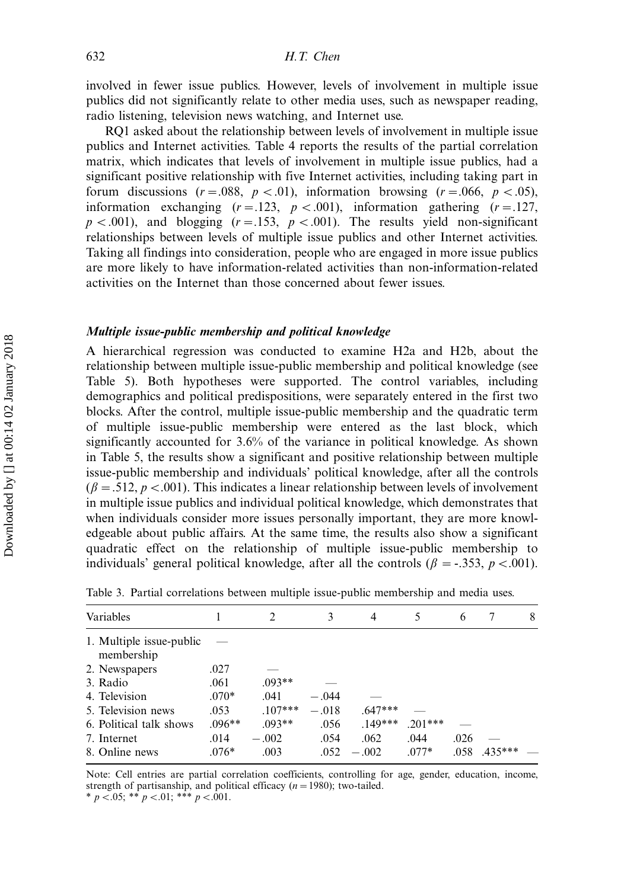involved in fewer issue publics. However, levels of involvement in multiple issue publics did not significantly relate to other media uses, such as newspaper reading, radio listening, television news watching, and Internet use.

RQ1 asked about the relationship between levels of involvement in multiple issue publics and Internet activities. Table 4 reports the results of the partial correlation matrix, which indicates that levels of involvement in multiple issue publics, had a significant positive relationship with five Internet activities, including taking part in forum discussions  $(r=.088, p < .01)$ , information browsing  $(r=.066, p < .05)$ , information exchanging  $(r=.123, p < .001)$ , information gathering  $(r=.127, p < .001)$  $p < .001$ ), and blogging (r=.153, p  $< .001$ ). The results yield non-significant relationships between levels of multiple issue publics and other Internet activities. Taking all findings into consideration, people who are engaged in more issue publics are more likely to have information-related activities than non-information-related activities on the Internet than those concerned about fewer issues.

# Multiple issue-public membership and political knowledge

A hierarchical regression was conducted to examine H2a and H2b, about the relationship between multiple issue-public membership and political knowledge (see Table 5). Both hypotheses were supported. The control variables, including demographics and political predispositions, were separately entered in the first two blocks. After the control, multiple issue-public membership and the quadratic term of multiple issue-public membership were entered as the last block, which significantly accounted for 3.6% of the variance in political knowledge. As shown in Table 5, the results show a significant and positive relationship between multiple issue-public membership and individuals' political knowledge, after all the controls  $(\beta = .512, p < .001)$ . This indicates a linear relationship between levels of involvement in multiple issue publics and individual political knowledge, which demonstrates that when individuals consider more issues personally important, they are more knowledgeable about public affairs. At the same time, the results also show a significant quadratic effect on the relationship of multiple issue-public membership to individuals' general political knowledge, after all the controls ( $\beta =$ -.353,  $p < .001$ ).

| Variables                              |          |           | 3       | 4         |          | 6    |           | 8 |
|----------------------------------------|----------|-----------|---------|-----------|----------|------|-----------|---|
| 1. Multiple issue-public<br>membership |          |           |         |           |          |      |           |   |
| 2. Newspapers                          | .027     |           |         |           |          |      |           |   |
| 3. Radio                               | .061     | $.093**$  |         |           |          |      |           |   |
| 4. Television                          | $.070*$  | .041      | $-.044$ |           |          |      |           |   |
| 5. Television news                     | .053     | $.107***$ | $-.018$ | $.647***$ |          |      |           |   |
| 6. Political talk shows                | $.096**$ | $.093**$  | .056    | $.149***$ | $201***$ |      |           |   |
| 7. Internet                            | .014     | $-.002$   | .054    | .062      | .044     | .026 |           |   |
| 8. Online news                         | $.076*$  | .003      | .052    | $-.002$   | $.077*$  | .058 | $.435***$ |   |

Table 3. Partial correlations between multiple issue-public membership and media uses.

Note: Cell entries are partial correlation coefficients, controlling for age, gender, education, income, strength of partisanship, and political efficacy ( $n=1980$ ); two-tailed. \*  $p < .05$ ; \*\*  $p < .01$ ; \*\*\*  $p < .001$ .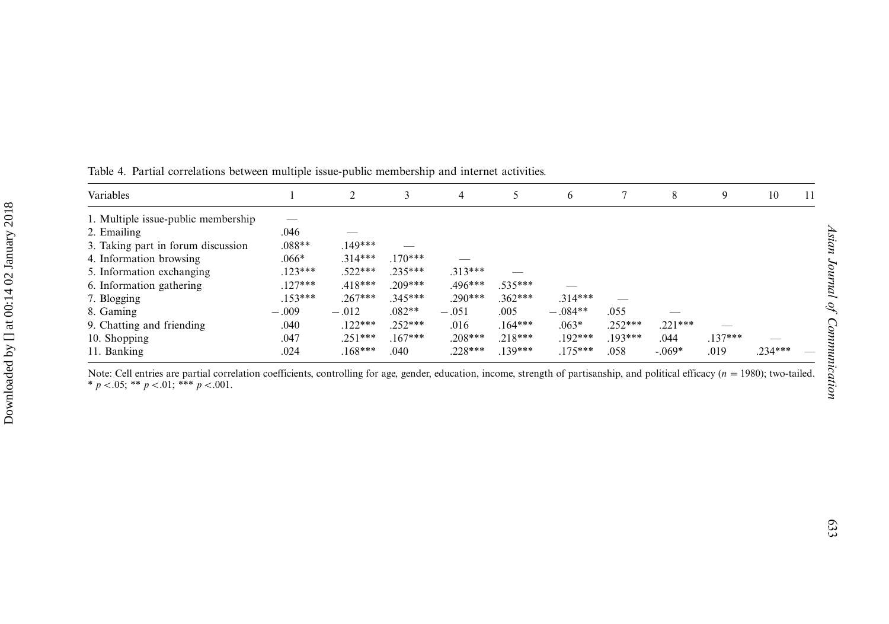| Variables                           |           | $\overline{c}$ | 3         | 4         |           | 6         |           | 8         | 9         | 10        | 11 |
|-------------------------------------|-----------|----------------|-----------|-----------|-----------|-----------|-----------|-----------|-----------|-----------|----|
| 1. Multiple issue-public membership |           |                |           |           |           |           |           |           |           |           |    |
| 2. Emailing                         | .046      | __             |           |           |           |           |           |           |           |           |    |
| 3. Taking part in forum discussion  | $.088**$  | $149***$       |           |           |           |           |           |           |           |           |    |
| 4. Information browsing             | $.066*$   | $.314***$      | $.170***$ |           |           |           |           |           |           |           |    |
| 5. Information exchanging           | $.123***$ | $.522***$      | $.235***$ | $.313***$ | ___       |           |           |           |           |           |    |
| 6. Information gathering            | $.127***$ | $.418***$      | $.209***$ | $.496***$ | $.535***$ |           |           |           |           |           |    |
| 7. Blogging                         | $.153***$ | $.267***$      | $.345***$ | $.290***$ | $.362***$ | $.314***$ |           |           |           |           |    |
| 8. Gaming                           | $-.009$   | $-.012$        | $.082**$  | $-.051$   | .005      | $-.084**$ | .055      |           |           |           |    |
| 9. Chatting and friending           | .040      | $.122***$      | $.252***$ | .016      | $164***$  | $.063*$   | $.252***$ | $.221***$ |           |           |    |
| 10. Shopping                        | .047      | $.251***$      | $.167***$ | $.208***$ | $.218***$ | $.192***$ | $.193***$ | .044      | $.137***$ |           |    |
| 11. Banking                         | .024      | $.168***$      | .040      | $.228***$ | $139***$  | $.175***$ | .058      | $-.069*$  | .019      | $.234***$ |    |

Table 4. Partial correlations between multiple issue-public membership and internet activities.

Note: Cell entries are partial correlation coefficients, controlling for age, gender, education, income, strength of partisanship, and political efficacy (*n* = 1980); two-tailed.<br>\* *p* <.05; \*\* *p* <.01; \*\*\* *p* <.001.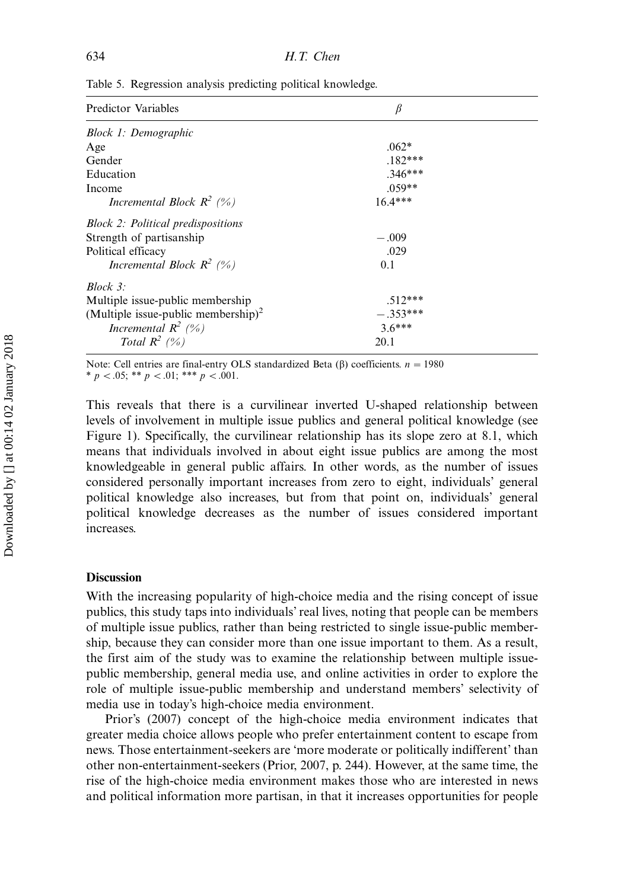Table 5. Regression analysis predicting political knowledge.

| Predictor Variables                             | β         |  |
|-------------------------------------------------|-----------|--|
| Block 1: Demographic                            |           |  |
| Age                                             | $.062*$   |  |
| Gender                                          | $.182***$ |  |
| Education                                       | $.346***$ |  |
| Income                                          | $.059**$  |  |
| Incremental Block $R^2$ (%)                     | $16.4***$ |  |
| <b>Block 2: Political predispositions</b>       |           |  |
| Strength of partisanship                        | $-.009$   |  |
| Political efficacy                              | .029      |  |
| Incremental Block $R^2$ (%)                     | 0.1       |  |
| $Block \; 3:$                                   |           |  |
| Multiple issue-public membership                | $.512***$ |  |
| (Multiple issue-public membership) <sup>2</sup> | $-353***$ |  |
| Incremental $R^2$ (%)                           | $3.6***$  |  |
| Total $R^2$ (%)                                 | 20.1      |  |

Note: Cell entries are final-entry OLS standardized Beta ( $\beta$ ) coefficients. n = 1980 \*  $p < .05$ ; \*\*  $p < .01$ ; \*\*\*  $p < .001$ .

This reveals that there is a curvilinear inverted U-shaped relationship between levels of involvement in multiple issue publics and general political knowledge (see Figure 1). Specifically, the curvilinear relationship has its slope zero at 8.1, which means that individuals involved in about eight issue publics are among the most knowledgeable in general public affairs. In other words, as the number of issues considered personally important increases from zero to eight, individuals' general political knowledge also increases, but from that point on, individuals' general political knowledge decreases as the number of issues considered important increases.

## **Discussion**

With the increasing popularity of high-choice media and the rising concept of issue publics, this study taps into individuals'real lives, noting that people can be members of multiple issue publics, rather than being restricted to single issue-public membership, because they can consider more than one issue important to them. As a result, the first aim of the study was to examine the relationship between multiple issuepublic membership, general media use, and online activities in order to explore the role of multiple issue-public membership and understand members' selectivity of media use in today's high-choice media environment.

Prior's (2007) concept of the high-choice media environment indicates that greater media choice allows people who prefer entertainment content to escape from news. Those entertainment-seekers are 'more moderate or politically indifferent' than other non-entertainment-seekers (Prior, 2007, p. 244). However, at the same time, the rise of the high-choice media environment makes those who are interested in news and political information more partisan, in that it increases opportunities for people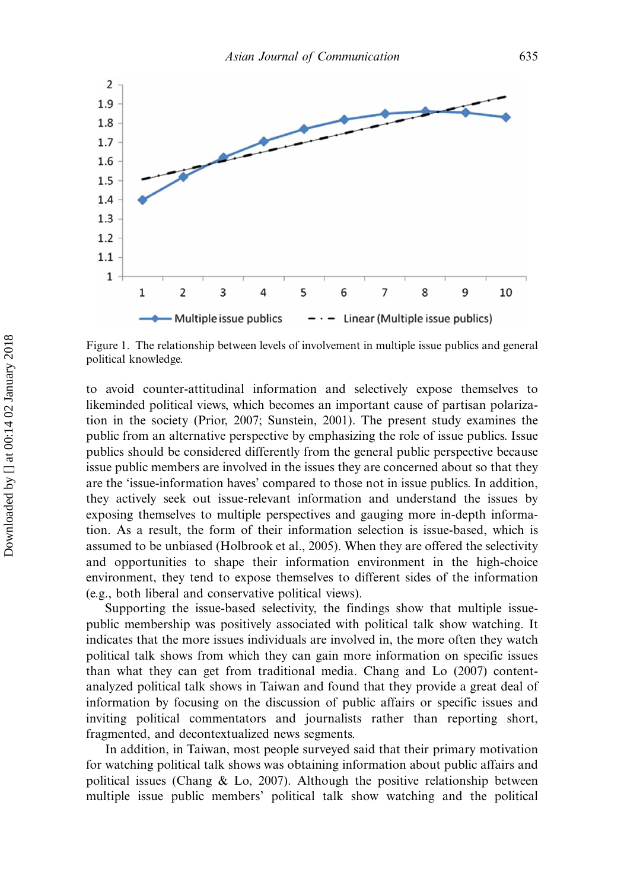

Figure 1. The relationship between levels of involvement in multiple issue publics and general political knowledge.

to avoid counter-attitudinal information and selectively expose themselves to likeminded political views, which becomes an important cause of partisan polarization in the society (Prior, 2007; Sunstein, 2001). The present study examines the public from an alternative perspective by emphasizing the role of issue publics. Issue publics should be considered differently from the general public perspective because issue public members are involved in the issues they are concerned about so that they are the 'issue-information haves' compared to those not in issue publics. In addition, they actively seek out issue-relevant information and understand the issues by exposing themselves to multiple perspectives and gauging more in-depth information. As a result, the form of their information selection is issue-based, which is assumed to be unbiased (Holbrook et al., 2005). When they are offered the selectivity and opportunities to shape their information environment in the high-choice environment, they tend to expose themselves to different sides of the information (e.g., both liberal and conservative political views).

Supporting the issue-based selectivity, the findings show that multiple issuepublic membership was positively associated with political talk show watching. It indicates that the more issues individuals are involved in, the more often they watch political talk shows from which they can gain more information on specific issues than what they can get from traditional media. Chang and Lo (2007) contentanalyzed political talk shows in Taiwan and found that they provide a great deal of information by focusing on the discussion of public affairs or specific issues and inviting political commentators and journalists rather than reporting short, fragmented, and decontextualized news segments.

In addition, in Taiwan, most people surveyed said that their primary motivation for watching political talk shows was obtaining information about public affairs and political issues (Chang & Lo, 2007). Although the positive relationship between multiple issue public members' political talk show watching and the political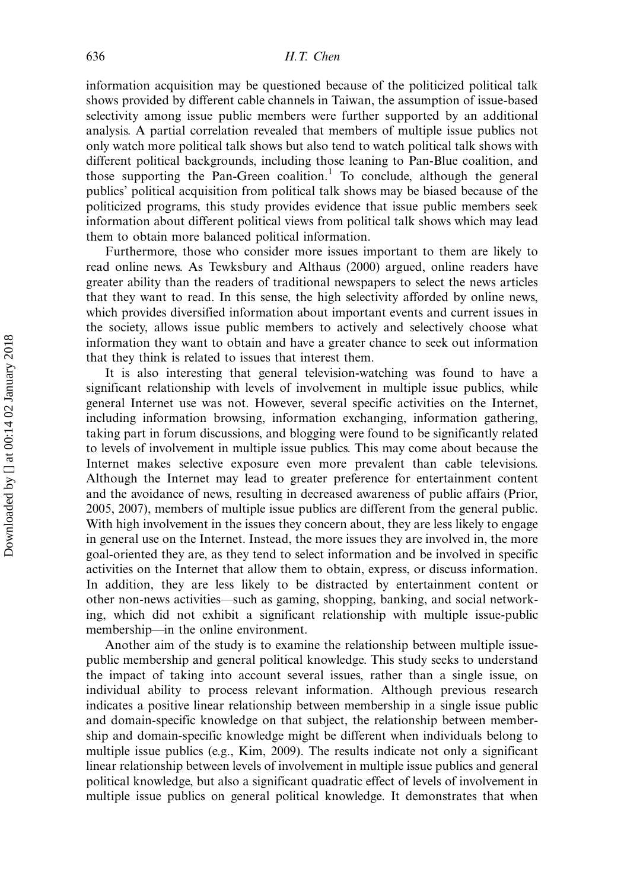information acquisition may be questioned because of the politicized political talk shows provided by different cable channels in Taiwan, the assumption of issue-based selectivity among issue public members were further supported by an additional analysis. A partial correlation revealed that members of multiple issue publics not only watch more political talk shows but also tend to watch political talk shows with different political backgrounds, including those leaning to Pan-Blue coalition, and those supporting the Pan-Green coalition.<sup>1</sup> To conclude, although the general publics' political acquisition from political talk shows may be biased because of the politicized programs, this study provides evidence that issue public members seek information about different political views from political talk shows which may lead them to obtain more balanced political information.

Furthermore, those who consider more issues important to them are likely to read online news. As Tewksbury and Althaus (2000) argued, online readers have greater ability than the readers of traditional newspapers to select the news articles that they want to read. In this sense, the high selectivity afforded by online news, which provides diversified information about important events and current issues in the society, allows issue public members to actively and selectively choose what information they want to obtain and have a greater chance to seek out information that they think is related to issues that interest them.

It is also interesting that general television-watching was found to have a significant relationship with levels of involvement in multiple issue publics, while general Internet use was not. However, several specific activities on the Internet, including information browsing, information exchanging, information gathering, taking part in forum discussions, and blogging were found to be significantly related to levels of involvement in multiple issue publics. This may come about because the Internet makes selective exposure even more prevalent than cable televisions. Although the Internet may lead to greater preference for entertainment content and the avoidance of news, resulting in decreased awareness of public affairs (Prior, 2005, 2007), members of multiple issue publics are different from the general public. With high involvement in the issues they concern about, they are less likely to engage in general use on the Internet. Instead, the more issues they are involved in, the more goal-oriented they are, as they tend to select information and be involved in specific activities on the Internet that allow them to obtain, express, or discuss information. In addition, they are less likely to be distracted by entertainment content or other non-news activities—such as gaming, shopping, banking, and social networking, which did not exhibit a significant relationship with multiple issue-public membership—in the online environment.

Another aim of the study is to examine the relationship between multiple issuepublic membership and general political knowledge. This study seeks to understand the impact of taking into account several issues, rather than a single issue, on individual ability to process relevant information. Although previous research indicates a positive linear relationship between membership in a single issue public and domain-specific knowledge on that subject, the relationship between membership and domain-specific knowledge might be different when individuals belong to multiple issue publics (e.g., Kim, 2009). The results indicate not only a significant linear relationship between levels of involvement in multiple issue publics and general political knowledge, but also a significant quadratic effect of levels of involvement in multiple issue publics on general political knowledge. It demonstrates that when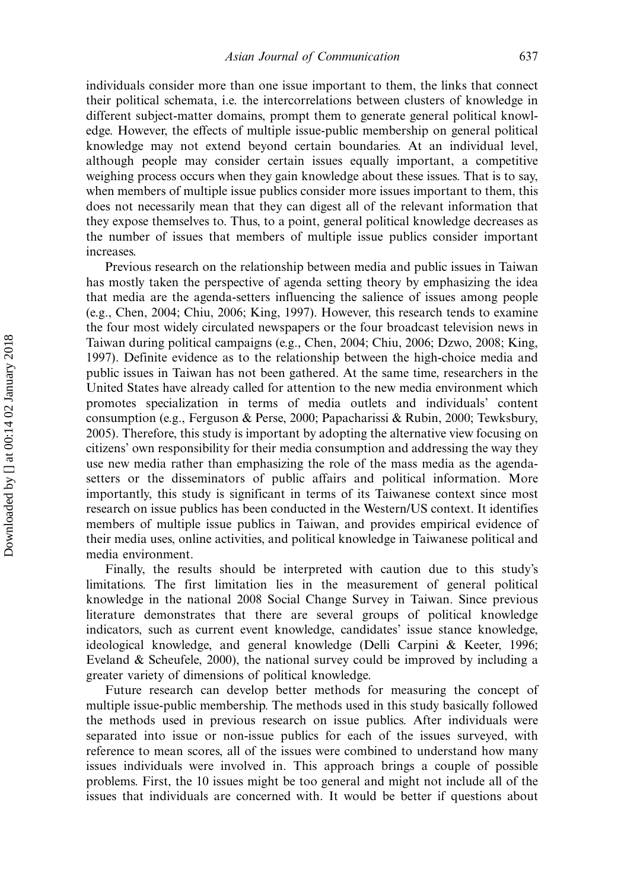individuals consider more than one issue important to them, the links that connect their political schemata, i.e. the intercorrelations between clusters of knowledge in different subject-matter domains, prompt them to generate general political knowledge. However, the effects of multiple issue-public membership on general political knowledge may not extend beyond certain boundaries. At an individual level, although people may consider certain issues equally important, a competitive weighing process occurs when they gain knowledge about these issues. That is to say, when members of multiple issue publics consider more issues important to them, this does not necessarily mean that they can digest all of the relevant information that they expose themselves to. Thus, to a point, general political knowledge decreases as the number of issues that members of multiple issue publics consider important increases.

Previous research on the relationship between media and public issues in Taiwan has mostly taken the perspective of agenda setting theory by emphasizing the idea that media are the agenda-setters influencing the salience of issues among people (e.g., Chen, 2004; Chiu, 2006; King, 1997). However, this research tends to examine the four most widely circulated newspapers or the four broadcast television news in Taiwan during political campaigns (e.g., Chen, 2004; Chiu, 2006; Dzwo, 2008; King, 1997). Definite evidence as to the relationship between the high-choice media and public issues in Taiwan has not been gathered. At the same time, researchers in the United States have already called for attention to the new media environment which promotes specialization in terms of media outlets and individuals' content consumption (e.g., Ferguson & Perse, 2000; Papacharissi & Rubin, 2000; Tewksbury, 2005). Therefore, this study is important by adopting the alternative view focusing on citizens' own responsibility for their media consumption and addressing the way they use new media rather than emphasizing the role of the mass media as the agendasetters or the disseminators of public affairs and political information. More importantly, this study is significant in terms of its Taiwanese context since most research on issue publics has been conducted in the Western/US context. It identifies members of multiple issue publics in Taiwan, and provides empirical evidence of their media uses, online activities, and political knowledge in Taiwanese political and media environment.

Finally, the results should be interpreted with caution due to this study's limitations. The first limitation lies in the measurement of general political knowledge in the national 2008 Social Change Survey in Taiwan. Since previous literature demonstrates that there are several groups of political knowledge indicators, such as current event knowledge, candidates' issue stance knowledge, ideological knowledge, and general knowledge (Delli Carpini & Keeter, 1996; Eveland & Scheufele, 2000), the national survey could be improved by including a greater variety of dimensions of political knowledge.

Future research can develop better methods for measuring the concept of multiple issue-public membership. The methods used in this study basically followed the methods used in previous research on issue publics. After individuals were separated into issue or non-issue publics for each of the issues surveyed, with reference to mean scores, all of the issues were combined to understand how many issues individuals were involved in. This approach brings a couple of possible problems. First, the 10 issues might be too general and might not include all of the issues that individuals are concerned with. It would be better if questions about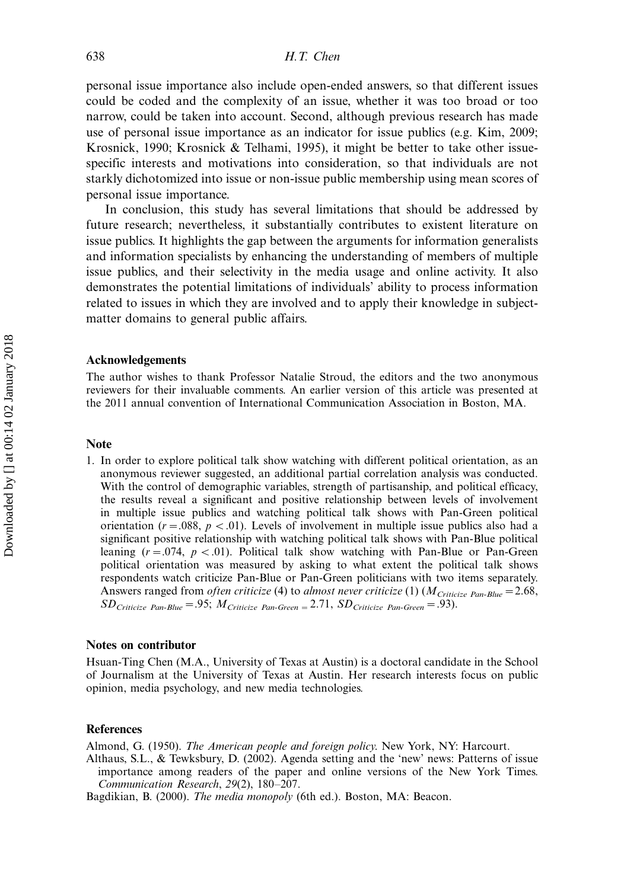personal issue importance also include open-ended answers, so that different issues could be coded and the complexity of an issue, whether it was too broad or too narrow, could be taken into account. Second, although previous research has made use of personal issue importance as an indicator for issue publics (e.g. Kim, 2009; Krosnick, 1990; Krosnick & Telhami, 1995), it might be better to take other issuespecific interests and motivations into consideration, so that individuals are not starkly dichotomized into issue or non-issue public membership using mean scores of personal issue importance.

In conclusion, this study has several limitations that should be addressed by future research; nevertheless, it substantially contributes to existent literature on issue publics. It highlights the gap between the arguments for information generalists and information specialists by enhancing the understanding of members of multiple issue publics, and their selectivity in the media usage and online activity. It also demonstrates the potential limitations of individuals' ability to process information related to issues in which they are involved and to apply their knowledge in subjectmatter domains to general public affairs.

#### Acknowledgements

The author wishes to thank Professor Natalie Stroud, the editors and the two anonymous reviewers for their invaluable comments. An earlier version of this article was presented at the 2011 annual convention of International Communication Association in Boston, MA.

#### Note

1. In order to explore political talk show watching with different political orientation, as an anonymous reviewer suggested, an additional partial correlation analysis was conducted. With the control of demographic variables, strength of partisanship, and political efficacy, the results reveal a significant and positive relationship between levels of involvement in multiple issue publics and watching political talk shows with Pan-Green political orientation ( $r = 0.088$ ,  $p < 0.01$ ). Levels of involvement in multiple issue publics also had a significant positive relationship with watching political talk shows with Pan-Blue political leaning ( $r = 074$ ,  $p < 01$ ). Political talk show watching with Pan-Blue or Pan-Green political orientation was measured by asking to what extent the political talk shows respondents watch criticize Pan-Blue or Pan-Green politicians with two items separately. Answers ranged from *often criticize* (4) to *almost never criticize* (1)  $(M_{\text{Criticize Pan-Blue}} = 2.68$ ,  $SD_{Criticize\ Pan-Blue} = .95; M_{Criticize\ Pan-Green} = 2.71, SD_{Criticize\ Pan-Green} = .93).$ 

#### Notes on contributor

Hsuan-Ting Chen (M.A., University of Texas at Austin) is a doctoral candidate in the School of Journalism at the University of Texas at Austin. Her research interests focus on public opinion, media psychology, and new media technologies.

#### **References**

Almond, G. (1950). The American people and foreign policy. New York, NY: Harcourt.

Althaus, S.L., & Tewksbury, D. (2002). Agenda setting and the 'new' news: Patterns of issue importance among readers of the paper and online versions of the New York Times. Communication Research, 29(2), 180-207.

Bagdikian, B. (2000). The media monopoly (6th ed.). Boston, MA: Beacon.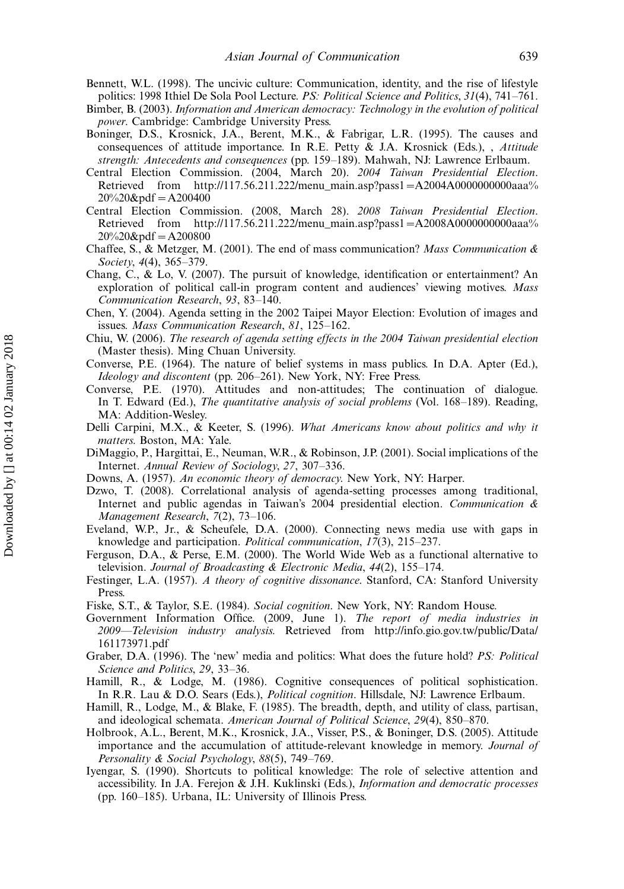- Bennett, W.L. (1998). The uncivic culture: Communication, identity, and the rise of lifestyle politics: 1998 Ithiel De Sola Pool Lecture. PS: Political Science and Politics, 31(4), 741–761.
- Bimber, B. (2003). Information and American democracy: Technology in the evolution of political power. Cambridge: Cambridge University Press.
- Boninger, D.S., Krosnick, J.A., Berent, M.K., & Fabrigar, L.R. (1995). The causes and consequences of attitude importance. In R.E. Petty & J.A. Krosnick (Eds.), , Attitude strength: Antecedents and consequences (pp. 159-189). Mahwah, NJ: Lawrence Erlbaum.
- Central Election Commission. (2004, March 20). 2004 Taiwan Presidential Election. Retrieved from [http://117.56.211.222/menu\\_main.asp?pass1](http://117.56.211.222/menu_main.asp?pass1 = A2004A0000000000aaa%20%20&pdf = A200400)= $A2004A0000000000a$ aaa%  $20\%20\&\text{pdf} = A200400$  $20\%20\&\text{pdf} = A200400$
- Central Election Commission. (2008, March 28). 2008 Taiwan Presidential Election. Retrieved from [http://117.56.211.222/menu\\_main.asp?pass1](http://117.56.211.222/menu_main.asp?pass1 = A2008A0000000000aaa%20%20&pdf = A200800)=A2008A00000000000aaa%  $20\%20\text{\&}$  pdf = [A200800](http://117.56.211.222/menu_main.asp?pass1 = A2008A0000000000aaa%20%20&pdf = A200800)
- Chaffee, S., & Metzger, M. (2001). The end of mass communication? Mass Communication  $\&$ Society,  $4(4)$ ,  $365-379$ .
- Chang, C., & Lo, V. (2007). The pursuit of knowledge, identification or entertainment? An exploration of political call-in program content and audiences' viewing motives. Mass Communication Research, 93, 83-140.
- Chen, Y. (2004). Agenda setting in the 2002 Taipei Mayor Election: Evolution of images and issues. Mass Communication Research, 81, 125-162.
- Chiu, W. (2006). The research of agenda setting effects in the 2004 Taiwan presidential election (Master thesis). Ming Chuan University.
- Converse, P.E. (1964). The nature of belief systems in mass publics. In D.A. Apter (Ed.), Ideology and discontent (pp. 206–261). New York, NY: Free Press.
- Converse, P.E. (1970). Attitudes and non-attitudes; The continuation of dialogue. In T. Edward (Ed.), *The quantitative analysis of social problems* (Vol.  $168-189$ ). Reading, MA: Addition-Wesley.
- Delli Carpini, M.X., & Keeter, S. (1996). What Americans know about politics and why it matters. Boston, MA: Yale.
- DiMaggio, P., Hargittai, E., Neuman, W.R., & Robinson, J.P. (2001). Social implications of the Internet. Annual Review of Sociology, 27, 307-336.
- Downs, A. (1957). An economic theory of democracy. New York, NY: Harper.
- Dzwo, T. (2008). Correlational analysis of agenda-setting processes among traditional, Internet and public agendas in Taiwan's 2004 presidential election. Communication  $\&$ Management Research, 7(2), 73-106.
- Eveland, W.P., Jr., & Scheufele, D.A. (2000). Connecting news media use with gaps in knowledge and participation. *Political communication*, 17(3), 215–237.
- Ferguson, D.A., & Perse, E.M. (2000). The World Wide Web as a functional alternative to television. Journal of Broadcasting & Electronic Media, 44(2), 155-174.
- Festinger, L.A. (1957). A theory of cognitive dissonance. Stanford, CA: Stanford University Press.
- Fiske, S.T., & Taylor, S.E. (1984). Social cognition. New York, NY: Random House.
- Government Information Office. (2009, June 1). The report of media industries in 2009-Television industry analysis. Retrieved from [http://info.gio.gov.tw/public/Data/](http://info.gio.gov.tw/public/Data/161173971.pdf) [161173971.pdf](http://info.gio.gov.tw/public/Data/161173971.pdf)
- Graber, D.A. (1996). The 'new' media and politics: What does the future hold? PS: Political Science and Politics, 29, 33-36.
- Hamill, R., & Lodge, M. (1986). Cognitive consequences of political sophistication. In R.R. Lau & D.O. Sears (Eds.), *Political cognition*. Hillsdale, NJ: Lawrence Erlbaum.
- Hamill, R., Lodge, M., & Blake, F. (1985). The breadth, depth, and utility of class, partisan, and ideological schemata. American Journal of Political Science, 29(4), 850-870.
- Holbrook, A.L., Berent, M.K., Krosnick, J.A., Visser, P.S., & Boninger, D.S. (2005). Attitude importance and the accumulation of attitude-relevant knowledge in memory. Journal of Personality & Social Psychology,  $88(5)$ , 749-769.
- Iyengar, S. (1990). Shortcuts to political knowledge: The role of selective attention and accessibility. In J.A. Ferejon & J.H. Kuklinski (Eds.), Information and democratic processes (pp.  $160-185$ ). Urbana, IL: University of Illinois Press.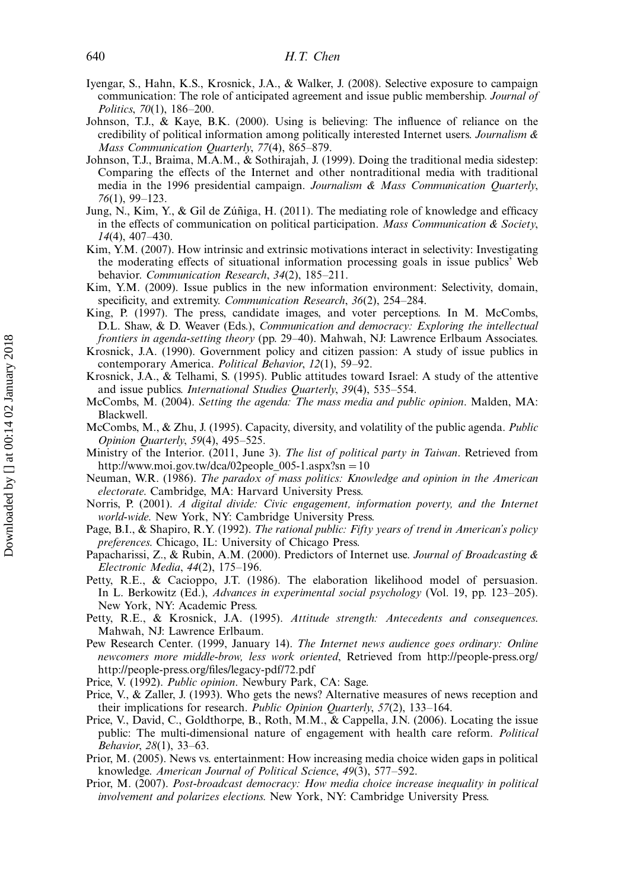- Iyengar, S., Hahn, K.S., Krosnick, J.A., & Walker, J. (2008). Selective exposure to campaign communication: The role of anticipated agreement and issue public membership. Journal of Politics,  $70(1)$ ,  $186-200$ .
- Johnson, T.J., & Kaye, B.K. (2000). Using is believing: The influence of reliance on the credibility of political information among politically interested Internet users. Journalism  $\&$ Mass Communication Quarterly, 77(4), 865-879.
- Johnson, T.J., Braima, M.A.M., & Sothirajah, J. (1999). Doing the traditional media sidestep: Comparing the effects of the Internet and other nontraditional media with traditional media in the 1996 presidential campaign. Journalism & Mass Communication Quarterly, 76(1), 99-123.
- Jung, N., Kim, Y., & Gil de Zúñiga, H. (2011). The mediating role of knowledge and efficacy in the effects of communication on political participation. Mass Communication  $\&$  Society,  $14(4)$ , 407-430.
- Kim, Y.M. (2007). How intrinsic and extrinsic motivations interact in selectivity: Investigating the moderating effects of situational information processing goals in issue publics' Web behavior. Communication Research, 34(2), 185-211.
- Kim, Y.M. (2009). Issue publics in the new information environment: Selectivity, domain, specificity, and extremity. Communication Research, 36(2), 254-284.
- King, P. (1997). The press, candidate images, and voter perceptions. In M. McCombs, D.L. Shaw, & D. Weaver (Eds.), *Communication and democracy: Exploring the intellectual* frontiers in agenda-setting theory (pp. 29–40). Mahwah, NJ: Lawrence Erlbaum Associates.
- Krosnick, J.A. (1990). Government policy and citizen passion: A study of issue publics in contemporary America. Political Behavior, 12(1), 59-92.
- Krosnick, J.A., & Telhami, S. (1995). Public attitudes toward Israel: A study of the attentive and issue publics. International Studies Quarterly, 39(4), 535-554.
- McCombs, M. (2004). Setting the agenda: The mass media and public opinion. Malden, MA: Blackwell.
- McCombs, M., & Zhu, J. (1995). Capacity, diversity, and volatility of the public agenda. Public Opinion Quarterly,  $59(4)$ ,  $495-525$ .
- Ministry of the Interior. (2011, June 3). The list of political party in Taiwan. Retrieved from [http://www.moi.gov.tw/dca/02people\\_005-1.aspx?sn](http://www.moi.gov.tw/dca/02people_005-1.aspx?sn = 10) =  $10$
- Neuman, W.R. (1986). The paradox of mass politics: Knowledge and opinion in the American electorate. Cambridge, MA: Harvard University Press.
- Norris, P. (2001). A digital divide: Civic engagement, information poverty, and the Internet world-wide. New York, NY: Cambridge University Press.
- Page, B.I., & Shapiro, R.Y. (1992). The rational public: Fifty years of trend in American's policy preferences. Chicago, IL: University of Chicago Press.
- Papacharissi, Z., & Rubin, A.M. (2000). Predictors of Internet use. Journal of Broadcasting & Electronic Media, 44(2), 175-196.
- Petty, R.E., & Cacioppo, J.T. (1986). The elaboration likelihood model of persuasion. In L. Berkowitz (Ed.), *Advances in experimental social psychology* (Vol. 19, pp. 123–205). New York, NY: Academic Press.
- Petty, R.E., & Krosnick, J.A. (1995). Attitude strength: Antecedents and consequences. Mahwah, NJ: Lawrence Erlbaum.
- Pew Research Center. (1999, January 14). The Internet news audience goes ordinary: Online newcomers more middle-brow, less work oriented, Retrieved from [http://people-press.org/](http://people-press.org/http://people-press.org/files/legacy-pdf/72.pdf) [http://people-press.org/files/legacy-pdf/72.pdf](http://people-press.org/http://people-press.org/files/legacy-pdf/72.pdf)
- Price, V. (1992). Public opinion. Newbury Park, CA: Sage.
- Price, V., & Zaller, J. (1993). Who gets the news? Alternative measures of news reception and their implications for research. Public Opinion Quarterly,  $57(2)$ , 133–164.
- Price, V., David, C., Goldthorpe, B., Roth, M.M., & Cappella, J.N. (2006). Locating the issue public: The multi-dimensional nature of engagement with health care reform. Political Behavior,  $28(1)$ ,  $33-63$ .
- Prior, M. (2005). News vs. entertainment: How increasing media choice widen gaps in political knowledge. American Journal of Political Science, 49(3), 577–592.
- Prior, M. (2007). Post-broadcast democracy: How media choice increase inequality in political involvement and polarizes elections. New York, NY: Cambridge University Press.